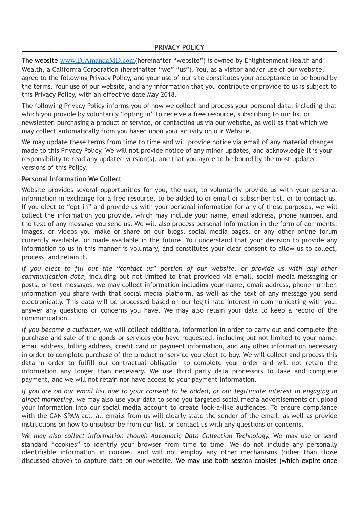The website [www.DrAmandaMD.com](http://www.DrAmandaMD.com)(hereinafter "website") is owned by Enlightenment Health and Wealth, a California Corporation (hereinafter "we" "us"). You, as a visitor and/or use of our website, agree to the following Privacy Policy, and your use of our site constitutes your acceptance to be bound by the terms. Your use of our website, and any information that you contribute or provide to us is subject to this Privacy Policy, with an effective date May 2018.

The following Privacy Policy informs you of how we collect and process your personal data, including that which you provide by voluntarily "opting in" to receive a free resource, subscribing to our list or newsletter, purchasing a product or service, or contacting us via our website, as well as that which we may collect automatically from you based upon your activity on our Website.

We may update these terms from time to time and will provide notice via email of any material changes made to this Privacy Policy. We will not provide notice of any minor updates, and acknowledge it is your responsibility to read any updated version(s), and that you agree to be bound by the most updated versions of this Policy.

# **Personal Information We Collect**

Website provides several opportunities for you, the user, to voluntarily provide us with your personal information in exchange for a free resource, to be added to or email or subscriber list, or to contact us. If you elect to "opt-in" and provide us with your personal information for any of these purposes, we will collect the information you provide, which may include your name, email address, phone number, and the text of any message you send us. We will also process personal information in the form of comments, images, or videos you make or share on our blogs, social media pages, or any other online forum currently available, or made available in the future. You understand that your decision to provide any information to us in this manner is voluntary, and constitutes your clear consent to allow us to collect, process, and retain it.

*If you elect to fill out the "contact us" portion of our website, or provide us with any other communication data*, including but not limited to that provided via email, social media messaging or posts, or text messages, we may collect information including your name, email address, phone number, information you share with that social media platform, as well as the text of any message you send electronically. This data will be processed based on our legitimate interest in communicating with you, answer any questions or concerns you have. We may also retain your data to keep a record of the communication.

*If you become a customer,* we will collect additional information in order to carry out and complete the purchase and sale of the goods or services you have requested, including but not limited to your name, email address, billing address, credit card or payment information, and any other information necessary in order to complete purchase of the product or service you elect to buy. We will collect and process this data in order to fulfill our contractual obligation to complete your order and will not retain the information any longer than necessary. We use third party data processors to take and complete payment, and we will not retain nor have access to your payment information.

*If you are on our email list due to your consent to be added, or our legitimate interest in engaging in direct marketing*, we may also use your data to send you targeted social media advertisements or upload your information into our social media account to create look-a-like audiences. To ensure compliance with the CAN-SPAM act, all emails from us will clearly state the sender of the email, as well as provide instructions on how to unsubscribe from our list, or contact us with any questions or concerns.

*We may also collect information though Automatic Data Collection Technology.* We may use or send standard "cookies" to identify your browser from time to time. We do not include any personally identifiable information in cookies, and will not employ any other mechanisms (other than those discussed above) to capture data on our website. We may use both session cookies (which expire once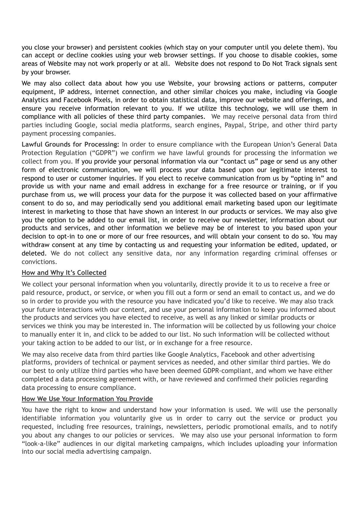you close your browser) and persistent cookies (which stay on your computer until you delete them). You can accept or decline cookies using your web browser settings. If you choose to disable cookies, some areas of Website may not work properly or at all. Website does not respond to Do Not Track signals sent by your browser.

We may also collect data about how you use Website, your browsing actions or patterns, computer equipment. IP address, internet connection, and other similar choices you make, including via Google Analytics and Facebook Pixels, in order to obtain statistical data, improve our website and offerings, and ensure you receive information relevant to you. If we utilize this technology, we will use them in compliance with all policies of these third party companies. We may receive personal data from third parties including Google, social media platforms, search engines, Paypal, Stripe, and other third party payment processing companies.

**Lawful Grounds for Processing:** In order to ensure compliance with the European Union's General Data Protection Regulation ("GDPR") we confirm we have lawful grounds for processing the information we collect from you. If you provide your personal information via our "contact us" page or send us any other form of electronic communication, we will process your data based upon our legitimate interest to respond to user or customer inquiries. If you elect to receive communication from us by "opting in" and provide us with your name and email address in exchange for a free resource or training, or if you purchase from us, we will process your data for the purpose it was collected based on your affirmative consent to do so, and may periodically send you additional email marketing based upon our legitimate interest in marketing to those that have shown an interest in our products or services. We may also give you the option to be added to our email list, in order to receive our newsletter, information about our products and services, and other information we believe may be of interest to you based upon your decision to opt-in to one or more of our free resources, and will obtain your consent to do so. You may withdraw consent at any time by contacting us and requesting your information be edited, updated, or deleted. We do not collect any sensitive data, nor any information regarding criminal offenses or convictions.

## **How and Why It's Collected**

We collect your personal information when you voluntarily, directly provide it to us to receive a free or paid resource, product, or service, or when you fill out a form or send an email to contact us, and we do so in order to provide you with the resource you have indicated you'd like to receive. We may also track your future interactions with our content, and use your personal information to keep you informed about the products and services you have elected to receive, as well as any linked or similar products or services we think you may be interested in. The information will be collected by us following your choice to manually enter it in, and click to be added to our list. No such information will be collected without your taking action to be added to our list, or in exchange for a free resource.

We may also receive data from third parties like Google Analytics, Facebook and other advertising platforms, providers of technical or payment services as needed, and other similar third parties. We do our best to only utilize third parties who have been deemed GDPR-compliant, and whom we have either completed a data processing agreement with, or have reviewed and confirmed their policies regarding data processing to ensure compliance.

### **How We Use Your Information You Provide**

You have the right to know and understand how your information is used. We will use the personally identifiable information you voluntarily give us in order to carry out the service or product you requested, including free resources, trainings, newsletters, periodic promotional emails, and to notify you about any changes to our policies or services. We may also use your personal information to form "look-a-like" audiences in our digital marketing campaigns, which includes uploading your information into our social media advertising campaign.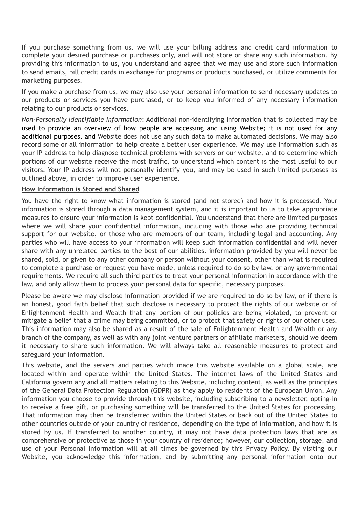If you purchase something from us, we will use your billing address and credit card information to complete your desired purchase or purchases only, and will not store or share any such information. By providing this information to us, you understand and agree that we may use and store such information to send emails, bill credit cards in exchange for programs or products purchased, or utilize comments for marketing purposes.

If you make a purchase from us, we may also use your personal information to send necessary updates to our products or services you have purchased, or to keep you informed of any necessary information relating to our products or services.

*Non-Personally Identifiable Information*: Additional non-identifying information that is collected may be used to provide an overview of how people are accessing and using Website; it is not used for any additional purposes, and Website does not use any such data to make automated decisions. We may also record some or all information to help create a better user experience. We may use information such as your IP address to help diagnose technical problems with servers or our website, and to determine which portions of our website receive the most traffic, to understand which content is the most useful to our visitors. Your IP address will not personally identify you, and may be used in such limited purposes as outlined above, in order to improve user experience.

#### **How Information is Stored and Shared**

You have the right to know what information is stored (and not stored) and how it is processed. Your information is stored through a data management system, and it is important to us to take appropriate measures to ensure your information is kept confidential. You understand that there are limited purposes where we will share your confidential information, including with those who are providing technical support for our website, or those who are members of our team, including legal and accounting. Any parties who will have access to your information will keep such information confidential and will never share with any unrelated parties to the best of our abilities. information provided by you will never be shared, sold, or given to any other company or person without your consent, other than what is required to complete a purchase or request you have made, unless required to do so by law, or any governmental requirements. We require all such third parties to treat your personal information in accordance with the law, and only allow them to process your personal data for specific, necessary purposes.

Please be aware we may disclose information provided if we are required to do so by law, or if there is an honest, good faith belief that such disclose is necessary to protect the rights of our website or of Enlightenment Health and Wealth that any portion of our policies are being violated, to prevent or mitigate a belief that a crime may being committed, or to protect that safety or rights of our other uses. This information may also be shared as a result of the sale of Enlightenment Health and Wealth or any branch of the company, as well as with any joint venture partners or affiliate marketers, should we deem it necessary to share such information. We will always take all reasonable measures to protect and safeguard your information.

This website, and the servers and parties which made this website available on a global scale, are located within and operate within the United States. The internet laws of the United States and California govern any and all matters relating to this Website, including content, as well as the principles of the General Data Protection Regulation (GDPR) as they apply to residents of the European Union. Any information you choose to provide through this website, including subscribing to a newsletter, opting-in to receive a free gift, or purchasing something will be transferred to the United States for processing. That information may then be transferred within the United States or back out of the United States to other countries outside of your country of residence, depending on the type of information, and how it is stored by us. If transferred to another country, it may not have data protection laws that are as comprehensive or protective as those in your country of residence; however, our collection, storage, and use of your Personal Information will at all times be governed by this Privacy Policy. By visiting our Website, you acknowledge this information, and by submitting any personal information onto our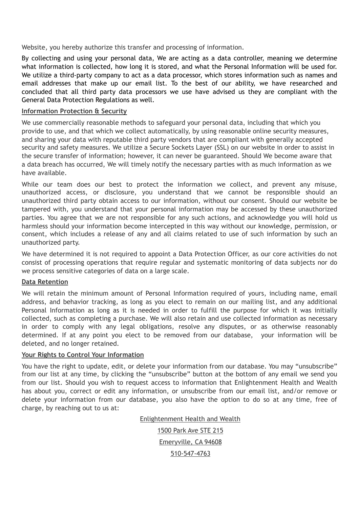Website, you hereby authorize this transfer and processing of information.

By collecting and using your personal data, We are acting as a data controller, meaning we determine what information is collected, how long it is stored, and what the Personal Information will be used for. We utilize a third-party company to act as a data processor, which stores information such as names and email addresses that make up our email list. To the best of our ability, we have researched and concluded that all third party data processors we use have advised us they are compliant with the General Data Protection Regulations as well.

#### **Information Protection & Security**

We use commercially reasonable methods to safeguard your personal data, including that which you provide to use, and that which we collect automatically, by using reasonable online security measures, and sharing your data with reputable third party vendors that are compliant with generally accepted security and safety measures. We utilize a Secure Sockets Layer (SSL) on our website in order to assist in the secure transfer of information; however, it can never be guaranteed. Should We become aware that a data breach has occurred, We will timely notify the necessary parties with as much information as we have available.

While our team does our best to protect the information we collect, and prevent any misuse, unauthorized access, or disclosure, you understand that we cannot be responsible should an unauthorized third party obtain access to our information, without our consent. Should our website be tampered with, you understand that your personal information may be accessed by these unauthorized parties. You agree that we are not responsible for any such actions, and acknowledge you will hold us harmless should your information become intercepted in this way without our knowledge, permission, or consent, which includes a release of any and all claims related to use of such information by such an unauthorized party.

We have determined it is not required to appoint a Data Protection Officer, as our core activities do not consist of processing operations that require regular and systematic monitoring of data subjects nor do we process sensitive categories of data on a large scale.

### **Data Retention**

We will retain the minimum amount of Personal Information required of yours, including name, email address, and behavior tracking, as long as you elect to remain on our mailing list, and any additional Personal Information as long as it is needed in order to fulfill the purpose for which it was initially collected, such as completing a purchase. We will also retain and use collected information as necessary in order to comply with any legal obligations, resolve any disputes, or as otherwise reasonably determined. If at any point you elect to be removed from our database, your information will be deleted, and no longer retained.

### **Your Rights to Control Your Information**

You have the right to update, edit, or delete your information from our database. You may "unsubscribe" from our list at any time, by clicking the "unsubscribe" button at the bottom of any email we send you from our list. Should you wish to request access to information that Enlightenment Health and Wealth has about you, correct or edit any information, or unsubscribe from our email list, and/or remove or delete your information from our database, you also have the option to do so at any time, free of charge, by reaching out to us at:

Enlightenment Health and Wealth

1500 Park Ave STE 215 Emeryville, CA 94608 510-547-4763